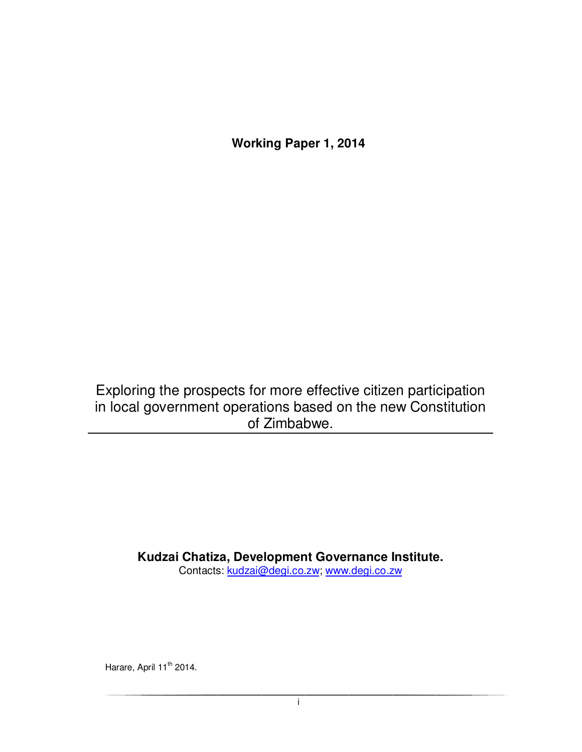**Working Paper 1, 2014** 

Exploring the prospects for more effective citizen participation in local government operations based on the new Constitution of Zimbabwe.

**Kudzai Chatiza, Development Governance Institute.** 

Contacts: kudzai@degi.co.zw; www.degi.co.zw

Harare, April 11<sup>th</sup> 2014.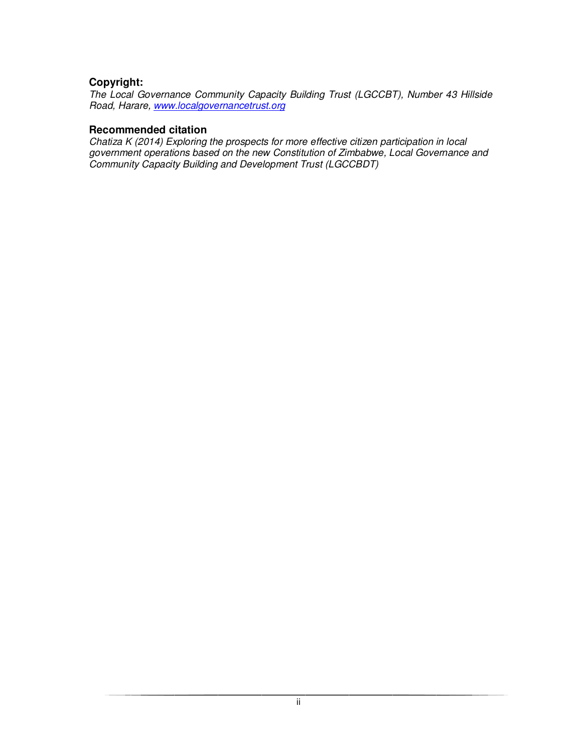### **Copyright:**

The Local Governance Community Capacity Building Trust (LGCCBT), Number 43 Hillside Road, Harare, www.localgovernancetrust.org

#### **Recommended citation**

Chatiza K (2014) Exploring the prospects for more effective citizen participation in local government operations based on the new Constitution of Zimbabwe, Local Governance and Community Capacity Building and Development Trust (LGCCBDT)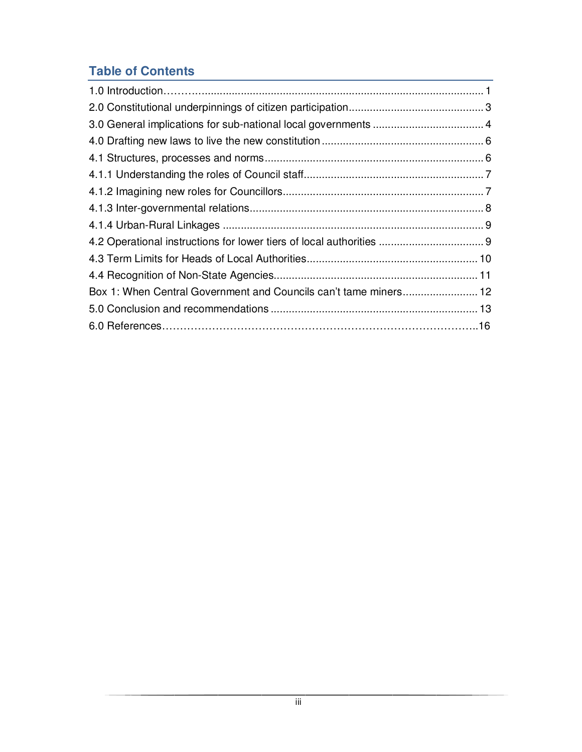# **Table of Contents**

| Box 1: When Central Government and Councils can't tame miners 12 |  |
|------------------------------------------------------------------|--|
|                                                                  |  |
|                                                                  |  |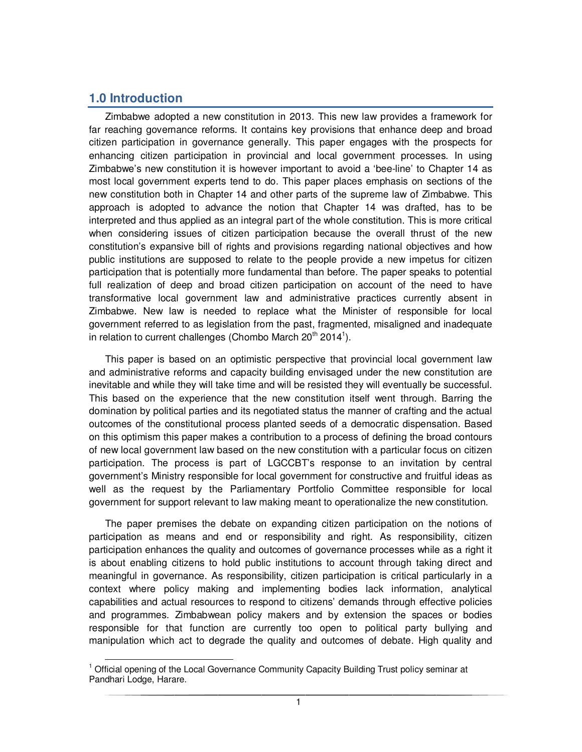## **1.0 Introduction**

 $\overline{a}$ 

Zimbabwe adopted a new constitution in 2013. This new law provides a framework for far reaching governance reforms. It contains key provisions that enhance deep and broad citizen participation in governance generally. This paper engages with the prospects for enhancing citizen participation in provincial and local government processes. In using Zimbabwe's new constitution it is however important to avoid a 'bee-line' to Chapter 14 as most local government experts tend to do. This paper places emphasis on sections of the new constitution both in Chapter 14 and other parts of the supreme law of Zimbabwe. This approach is adopted to advance the notion that Chapter 14 was drafted, has to be interpreted and thus applied as an integral part of the whole constitution. This is more critical when considering issues of citizen participation because the overall thrust of the new constitution's expansive bill of rights and provisions regarding national objectives and how public institutions are supposed to relate to the people provide a new impetus for citizen participation that is potentially more fundamental than before. The paper speaks to potential full realization of deep and broad citizen participation on account of the need to have transformative local government law and administrative practices currently absent in Zimbabwe. New law is needed to replace what the Minister of responsible for local government referred to as legislation from the past, fragmented, misaligned and inadequate in relation to current challenges (Chombo March 20<sup>th</sup> 2014<sup>1</sup>).

This paper is based on an optimistic perspective that provincial local government law and administrative reforms and capacity building envisaged under the new constitution are inevitable and while they will take time and will be resisted they will eventually be successful. This based on the experience that the new constitution itself went through. Barring the domination by political parties and its negotiated status the manner of crafting and the actual outcomes of the constitutional process planted seeds of a democratic dispensation. Based on this optimism this paper makes a contribution to a process of defining the broad contours of new local government law based on the new constitution with a particular focus on citizen participation. The process is part of LGCCBT's response to an invitation by central government's Ministry responsible for local government for constructive and fruitful ideas as well as the request by the Parliamentary Portfolio Committee responsible for local government for support relevant to law making meant to operationalize the new constitution.

The paper premises the debate on expanding citizen participation on the notions of participation as means and end or responsibility and right. As responsibility, citizen participation enhances the quality and outcomes of governance processes while as a right it is about enabling citizens to hold public institutions to account through taking direct and meaningful in governance. As responsibility, citizen participation is critical particularly in a context where policy making and implementing bodies lack information, analytical capabilities and actual resources to respond to citizens' demands through effective policies and programmes. Zimbabwean policy makers and by extension the spaces or bodies responsible for that function are currently too open to political party bullying and manipulation which act to degrade the quality and outcomes of debate. High quality and

<sup>&</sup>lt;sup>1</sup> Official opening of the Local Governance Community Capacity Building Trust policy seminar at Pandhari Lodge, Harare.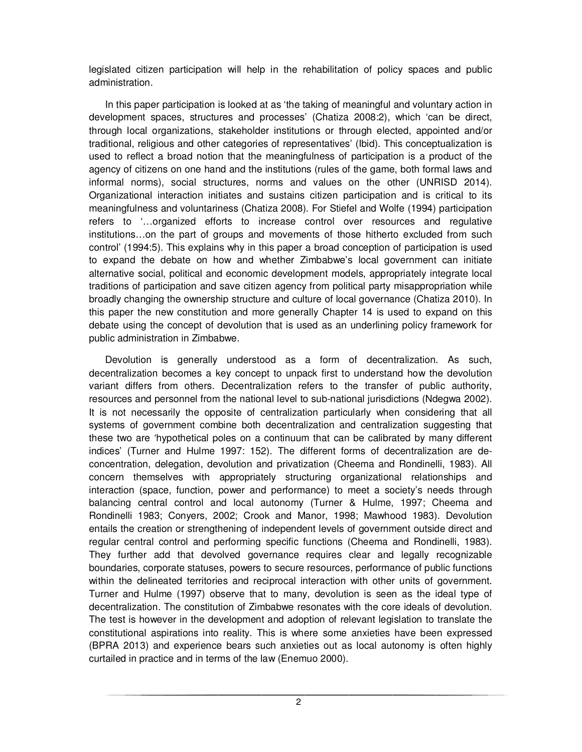legislated citizen participation will help in the rehabilitation of policy spaces and public administration.

In this paper participation is looked at as 'the taking of meaningful and voluntary action in development spaces, structures and processes' (Chatiza 2008:2), which 'can be direct, through local organizations, stakeholder institutions or through elected, appointed and/or traditional, religious and other categories of representatives' (Ibid). This conceptualization is used to reflect a broad notion that the meaningfulness of participation is a product of the agency of citizens on one hand and the institutions (rules of the game, both formal laws and informal norms), social structures, norms and values on the other (UNRISD 2014). Organizational interaction initiates and sustains citizen participation and is critical to its meaningfulness and voluntariness (Chatiza 2008). For Stiefel and Wolfe (1994) participation refers to '…organized efforts to increase control over resources and regulative institutions…on the part of groups and movements of those hitherto excluded from such control' (1994:5). This explains why in this paper a broad conception of participation is used to expand the debate on how and whether Zimbabwe's local government can initiate alternative social, political and economic development models, appropriately integrate local traditions of participation and save citizen agency from political party misappropriation while broadly changing the ownership structure and culture of local governance (Chatiza 2010). In this paper the new constitution and more generally Chapter 14 is used to expand on this debate using the concept of devolution that is used as an underlining policy framework for public administration in Zimbabwe.

Devolution is generally understood as a form of decentralization. As such, decentralization becomes a key concept to unpack first to understand how the devolution variant differs from others. Decentralization refers to the transfer of public authority, resources and personnel from the national level to sub-national jurisdictions (Ndegwa 2002). It is not necessarily the opposite of centralization particularly when considering that all systems of government combine both decentralization and centralization suggesting that these two are 'hypothetical poles on a continuum that can be calibrated by many different indices' (Turner and Hulme 1997: 152). The different forms of decentralization are deconcentration, delegation, devolution and privatization (Cheema and Rondinelli, 1983). All concern themselves with appropriately structuring organizational relationships and interaction (space, function, power and performance) to meet a society's needs through balancing central control and local autonomy (Turner & Hulme, 1997; Cheema and Rondinelli 1983; Conyers, 2002; Crook and Manor, 1998; Mawhood 1983). Devolution entails the creation or strengthening of independent levels of government outside direct and regular central control and performing specific functions (Cheema and Rondinelli, 1983). They further add that devolved governance requires clear and legally recognizable boundaries, corporate statuses, powers to secure resources, performance of public functions within the delineated territories and reciprocal interaction with other units of government. Turner and Hulme (1997) observe that to many, devolution is seen as the ideal type of decentralization. The constitution of Zimbabwe resonates with the core ideals of devolution. The test is however in the development and adoption of relevant legislation to translate the constitutional aspirations into reality. This is where some anxieties have been expressed (BPRA 2013) and experience bears such anxieties out as local autonomy is often highly curtailed in practice and in terms of the law (Enemuo 2000).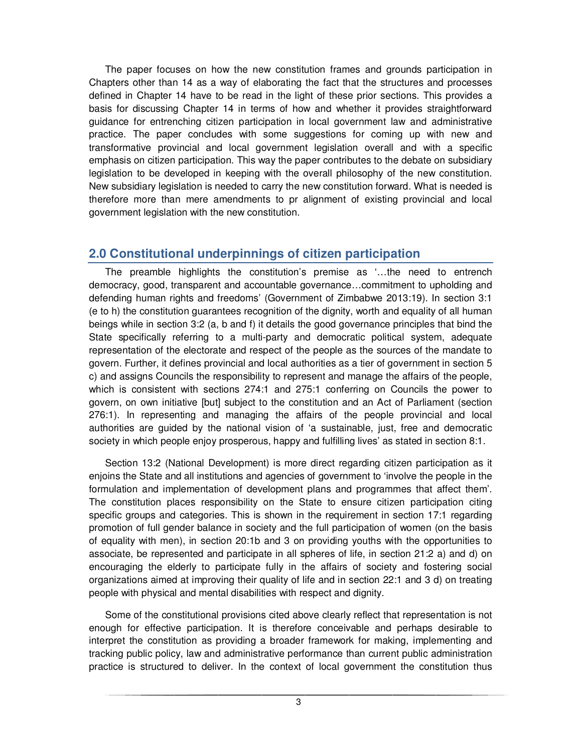The paper focuses on how the new constitution frames and grounds participation in Chapters other than 14 as a way of elaborating the fact that the structures and processes defined in Chapter 14 have to be read in the light of these prior sections. This provides a basis for discussing Chapter 14 in terms of how and whether it provides straightforward guidance for entrenching citizen participation in local government law and administrative practice. The paper concludes with some suggestions for coming up with new and transformative provincial and local government legislation overall and with a specific emphasis on citizen participation. This way the paper contributes to the debate on subsidiary legislation to be developed in keeping with the overall philosophy of the new constitution. New subsidiary legislation is needed to carry the new constitution forward. What is needed is therefore more than mere amendments to pr alignment of existing provincial and local government legislation with the new constitution.

## **2.0 Constitutional underpinnings of citizen participation**

The preamble highlights the constitution's premise as '…the need to entrench democracy, good, transparent and accountable governance…commitment to upholding and defending human rights and freedoms' (Government of Zimbabwe 2013:19). In section 3:1 (e to h) the constitution guarantees recognition of the dignity, worth and equality of all human beings while in section 3:2 (a, b and f) it details the good governance principles that bind the State specifically referring to a multi-party and democratic political system, adequate representation of the electorate and respect of the people as the sources of the mandate to govern. Further, it defines provincial and local authorities as a tier of government in section 5 c) and assigns Councils the responsibility to represent and manage the affairs of the people, which is consistent with sections 274:1 and 275:1 conferring on Councils the power to govern, on own initiative [but] subject to the constitution and an Act of Parliament (section 276:1). In representing and managing the affairs of the people provincial and local authorities are guided by the national vision of 'a sustainable, just, free and democratic society in which people enjoy prosperous, happy and fulfilling lives' as stated in section 8:1.

Section 13:2 (National Development) is more direct regarding citizen participation as it enjoins the State and all institutions and agencies of government to 'involve the people in the formulation and implementation of development plans and programmes that affect them'. The constitution places responsibility on the State to ensure citizen participation citing specific groups and categories. This is shown in the requirement in section 17:1 regarding promotion of full gender balance in society and the full participation of women (on the basis of equality with men), in section 20:1b and 3 on providing youths with the opportunities to associate, be represented and participate in all spheres of life, in section 21:2 a) and d) on encouraging the elderly to participate fully in the affairs of society and fostering social organizations aimed at improving their quality of life and in section 22:1 and 3 d) on treating people with physical and mental disabilities with respect and dignity.

Some of the constitutional provisions cited above clearly reflect that representation is not enough for effective participation. It is therefore conceivable and perhaps desirable to interpret the constitution as providing a broader framework for making, implementing and tracking public policy, law and administrative performance than current public administration practice is structured to deliver. In the context of local government the constitution thus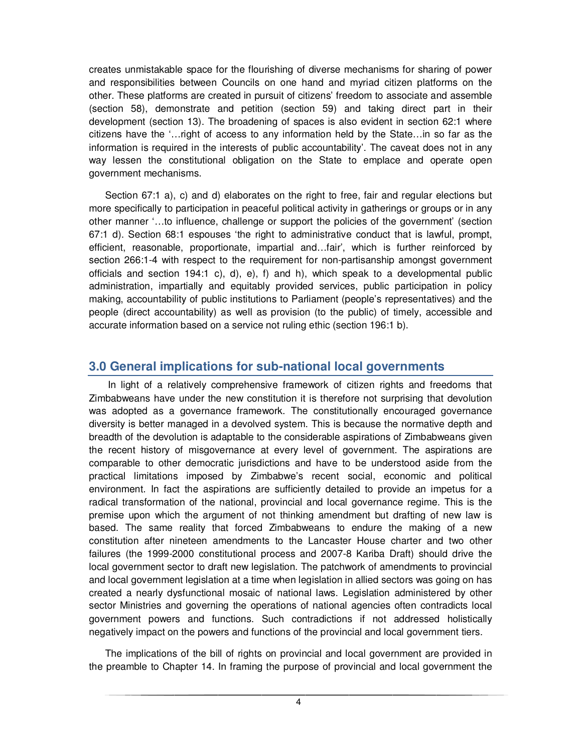creates unmistakable space for the flourishing of diverse mechanisms for sharing of power and responsibilities between Councils on one hand and myriad citizen platforms on the other. These platforms are created in pursuit of citizens' freedom to associate and assemble (section 58), demonstrate and petition (section 59) and taking direct part in their development (section 13). The broadening of spaces is also evident in section 62:1 where citizens have the '…right of access to any information held by the State…in so far as the information is required in the interests of public accountability'. The caveat does not in any way lessen the constitutional obligation on the State to emplace and operate open government mechanisms.

Section 67:1 a), c) and d) elaborates on the right to free, fair and regular elections but more specifically to participation in peaceful political activity in gatherings or groups or in any other manner '…to influence, challenge or support the policies of the government' (section 67:1 d). Section 68:1 espouses 'the right to administrative conduct that is lawful, prompt, efficient, reasonable, proportionate, impartial and…fair', which is further reinforced by section 266:1-4 with respect to the requirement for non-partisanship amongst government officials and section 194:1 c), d), e), f) and h), which speak to a developmental public administration, impartially and equitably provided services, public participation in policy making, accountability of public institutions to Parliament (people's representatives) and the people (direct accountability) as well as provision (to the public) of timely, accessible and accurate information based on a service not ruling ethic (section 196:1 b).

### **3.0 General implications for sub-national local governments**

 In light of a relatively comprehensive framework of citizen rights and freedoms that Zimbabweans have under the new constitution it is therefore not surprising that devolution was adopted as a governance framework. The constitutionally encouraged governance diversity is better managed in a devolved system. This is because the normative depth and breadth of the devolution is adaptable to the considerable aspirations of Zimbabweans given the recent history of misgovernance at every level of government. The aspirations are comparable to other democratic jurisdictions and have to be understood aside from the practical limitations imposed by Zimbabwe's recent social, economic and political environment. In fact the aspirations are sufficiently detailed to provide an impetus for a radical transformation of the national, provincial and local governance regime. This is the premise upon which the argument of not thinking amendment but drafting of new law is based. The same reality that forced Zimbabweans to endure the making of a new constitution after nineteen amendments to the Lancaster House charter and two other failures (the 1999-2000 constitutional process and 2007-8 Kariba Draft) should drive the local government sector to draft new legislation. The patchwork of amendments to provincial and local government legislation at a time when legislation in allied sectors was going on has created a nearly dysfunctional mosaic of national laws. Legislation administered by other sector Ministries and governing the operations of national agencies often contradicts local government powers and functions. Such contradictions if not addressed holistically negatively impact on the powers and functions of the provincial and local government tiers.

The implications of the bill of rights on provincial and local government are provided in the preamble to Chapter 14. In framing the purpose of provincial and local government the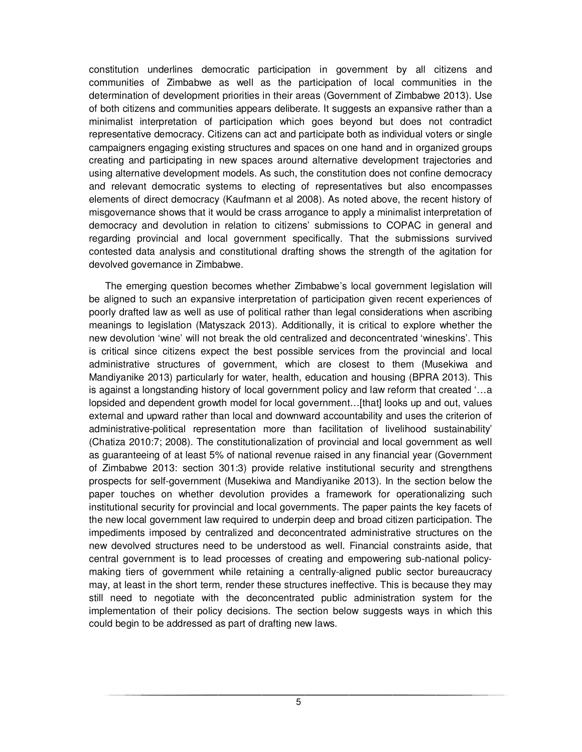constitution underlines democratic participation in government by all citizens and communities of Zimbabwe as well as the participation of local communities in the determination of development priorities in their areas (Government of Zimbabwe 2013). Use of both citizens and communities appears deliberate. It suggests an expansive rather than a minimalist interpretation of participation which goes beyond but does not contradict representative democracy. Citizens can act and participate both as individual voters or single campaigners engaging existing structures and spaces on one hand and in organized groups creating and participating in new spaces around alternative development trajectories and using alternative development models. As such, the constitution does not confine democracy and relevant democratic systems to electing of representatives but also encompasses elements of direct democracy (Kaufmann et al 2008). As noted above, the recent history of misgovernance shows that it would be crass arrogance to apply a minimalist interpretation of democracy and devolution in relation to citizens' submissions to COPAC in general and regarding provincial and local government specifically. That the submissions survived contested data analysis and constitutional drafting shows the strength of the agitation for devolved governance in Zimbabwe.

The emerging question becomes whether Zimbabwe's local government legislation will be aligned to such an expansive interpretation of participation given recent experiences of poorly drafted law as well as use of political rather than legal considerations when ascribing meanings to legislation (Matyszack 2013). Additionally, it is critical to explore whether the new devolution 'wine' will not break the old centralized and deconcentrated 'wineskins'. This is critical since citizens expect the best possible services from the provincial and local administrative structures of government, which are closest to them (Musekiwa and Mandiyanike 2013) particularly for water, health, education and housing (BPRA 2013). This is against a longstanding history of local government policy and law reform that created '…a lopsided and dependent growth model for local government…[that] looks up and out, values external and upward rather than local and downward accountability and uses the criterion of administrative-political representation more than facilitation of livelihood sustainability' (Chatiza 2010:7; 2008). The constitutionalization of provincial and local government as well as guaranteeing of at least 5% of national revenue raised in any financial year (Government of Zimbabwe 2013: section 301:3) provide relative institutional security and strengthens prospects for self-government (Musekiwa and Mandiyanike 2013). In the section below the paper touches on whether devolution provides a framework for operationalizing such institutional security for provincial and local governments. The paper paints the key facets of the new local government law required to underpin deep and broad citizen participation. The impediments imposed by centralized and deconcentrated administrative structures on the new devolved structures need to be understood as well. Financial constraints aside, that central government is to lead processes of creating and empowering sub-national policymaking tiers of government while retaining a centrally-aligned public sector bureaucracy may, at least in the short term, render these structures ineffective. This is because they may still need to negotiate with the deconcentrated public administration system for the implementation of their policy decisions. The section below suggests ways in which this could begin to be addressed as part of drafting new laws.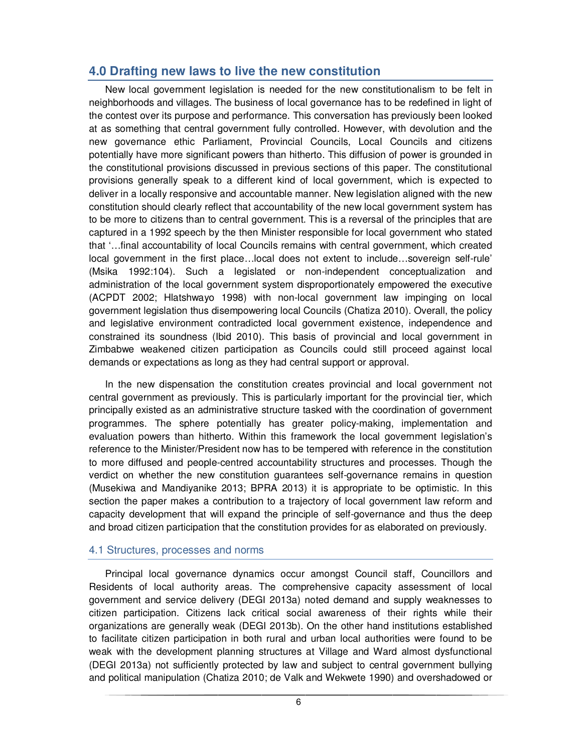### **4.0 Drafting new laws to live the new constitution**

New local government legislation is needed for the new constitutionalism to be felt in neighborhoods and villages. The business of local governance has to be redefined in light of the contest over its purpose and performance. This conversation has previously been looked at as something that central government fully controlled. However, with devolution and the new governance ethic Parliament, Provincial Councils, Local Councils and citizens potentially have more significant powers than hitherto. This diffusion of power is grounded in the constitutional provisions discussed in previous sections of this paper. The constitutional provisions generally speak to a different kind of local government, which is expected to deliver in a locally responsive and accountable manner. New legislation aligned with the new constitution should clearly reflect that accountability of the new local government system has to be more to citizens than to central government. This is a reversal of the principles that are captured in a 1992 speech by the then Minister responsible for local government who stated that '…final accountability of local Councils remains with central government, which created local government in the first place…local does not extent to include…sovereign self-rule' (Msika 1992:104). Such a legislated or non-independent conceptualization and administration of the local government system disproportionately empowered the executive (ACPDT 2002; Hlatshwayo 1998) with non-local government law impinging on local government legislation thus disempowering local Councils (Chatiza 2010). Overall, the policy and legislative environment contradicted local government existence, independence and constrained its soundness (Ibid 2010). This basis of provincial and local government in Zimbabwe weakened citizen participation as Councils could still proceed against local demands or expectations as long as they had central support or approval.

In the new dispensation the constitution creates provincial and local government not central government as previously. This is particularly important for the provincial tier, which principally existed as an administrative structure tasked with the coordination of government programmes. The sphere potentially has greater policy-making, implementation and evaluation powers than hitherto. Within this framework the local government legislation's reference to the Minister/President now has to be tempered with reference in the constitution to more diffused and people-centred accountability structures and processes. Though the verdict on whether the new constitution guarantees self-governance remains in question (Musekiwa and Mandiyanike 2013; BPRA 2013) it is appropriate to be optimistic. In this section the paper makes a contribution to a trajectory of local government law reform and capacity development that will expand the principle of self-governance and thus the deep and broad citizen participation that the constitution provides for as elaborated on previously.

#### 4.1 Structures, processes and norms

Principal local governance dynamics occur amongst Council staff, Councillors and Residents of local authority areas. The comprehensive capacity assessment of local government and service delivery (DEGI 2013a) noted demand and supply weaknesses to citizen participation. Citizens lack critical social awareness of their rights while their organizations are generally weak (DEGI 2013b). On the other hand institutions established to facilitate citizen participation in both rural and urban local authorities were found to be weak with the development planning structures at Village and Ward almost dysfunctional (DEGI 2013a) not sufficiently protected by law and subject to central government bullying and political manipulation (Chatiza 2010; de Valk and Wekwete 1990) and overshadowed or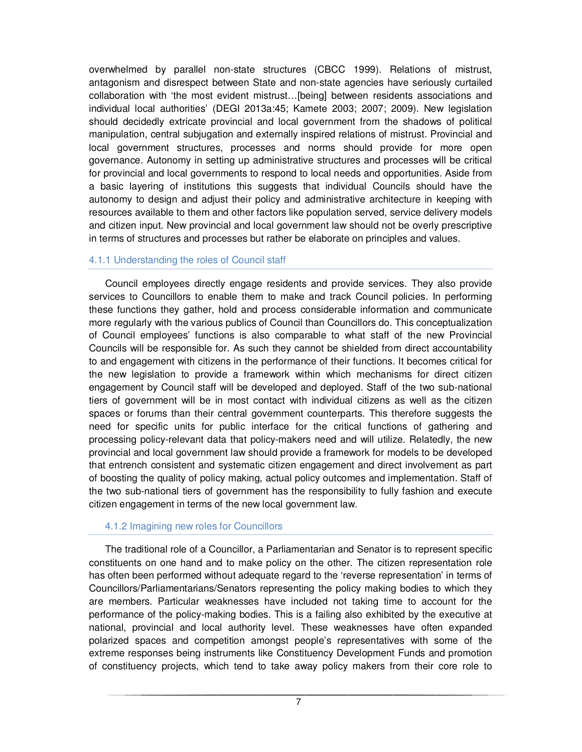overwhelmed by parallel non-state structures (CBCC 1999). Relations of mistrust, antagonism and disrespect between State and non-state agencies have seriously curtailed collaboration with 'the most evident mistrust…[being] between residents associations and individual local authorities' (DEGI 2013a:45; Kamete 2003; 2007; 2009). New legislation should decidedly extricate provincial and local government from the shadows of political manipulation, central subjugation and externally inspired relations of mistrust. Provincial and local government structures, processes and norms should provide for more open governance. Autonomy in setting up administrative structures and processes will be critical for provincial and local governments to respond to local needs and opportunities. Aside from a basic layering of institutions this suggests that individual Councils should have the autonomy to design and adjust their policy and administrative architecture in keeping with resources available to them and other factors like population served, service delivery models and citizen input. New provincial and local government law should not be overly prescriptive in terms of structures and processes but rather be elaborate on principles and values.

#### 4.1.1 Understanding the roles of Council staff

Council employees directly engage residents and provide services. They also provide services to Councillors to enable them to make and track Council policies. In performing these functions they gather, hold and process considerable information and communicate more regularly with the various publics of Council than Councillors do. This conceptualization of Council employees' functions is also comparable to what staff of the new Provincial Councils will be responsible for. As such they cannot be shielded from direct accountability to and engagement with citizens in the performance of their functions. It becomes critical for the new legislation to provide a framework within which mechanisms for direct citizen engagement by Council staff will be developed and deployed. Staff of the two sub-national tiers of government will be in most contact with individual citizens as well as the citizen spaces or forums than their central government counterparts. This therefore suggests the need for specific units for public interface for the critical functions of gathering and processing policy-relevant data that policy-makers need and will utilize. Relatedly, the new provincial and local government law should provide a framework for models to be developed that entrench consistent and systematic citizen engagement and direct involvement as part of boosting the quality of policy making, actual policy outcomes and implementation. Staff of the two sub-national tiers of government has the responsibility to fully fashion and execute citizen engagement in terms of the new local government law.

#### 4.1.2 Imagining new roles for Councillors

The traditional role of a Councillor, a Parliamentarian and Senator is to represent specific constituents on one hand and to make policy on the other. The citizen representation role has often been performed without adequate regard to the 'reverse representation' in terms of Councillors/Parliamentarians/Senators representing the policy making bodies to which they are members. Particular weaknesses have included not taking time to account for the performance of the policy-making bodies. This is a failing also exhibited by the executive at national, provincial and local authority level. These weaknesses have often expanded polarized spaces and competition amongst people's representatives with some of the extreme responses being instruments like Constituency Development Funds and promotion of constituency projects, which tend to take away policy makers from their core role to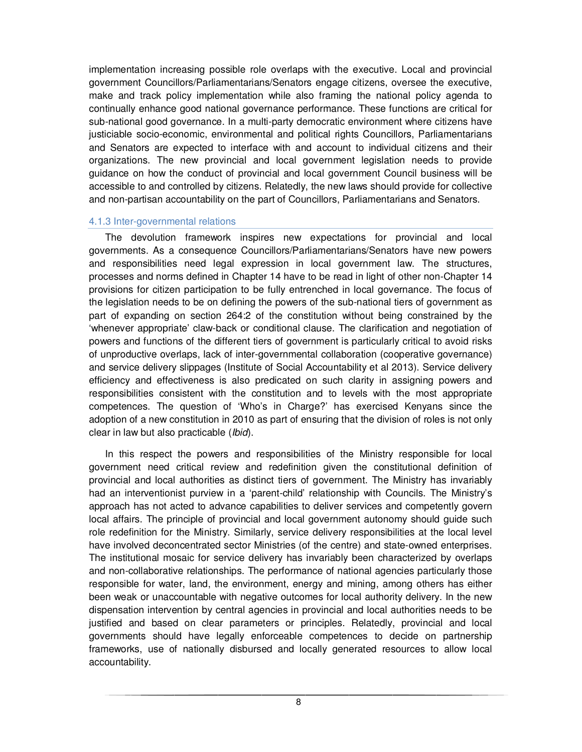implementation increasing possible role overlaps with the executive. Local and provincial government Councillors/Parliamentarians/Senators engage citizens, oversee the executive, make and track policy implementation while also framing the national policy agenda to continually enhance good national governance performance. These functions are critical for sub-national good governance. In a multi-party democratic environment where citizens have justiciable socio-economic, environmental and political rights Councillors, Parliamentarians and Senators are expected to interface with and account to individual citizens and their organizations. The new provincial and local government legislation needs to provide guidance on how the conduct of provincial and local government Council business will be accessible to and controlled by citizens. Relatedly, the new laws should provide for collective and non-partisan accountability on the part of Councillors, Parliamentarians and Senators.

#### 4.1.3 Inter-governmental relations

The devolution framework inspires new expectations for provincial and local governments. As a consequence Councillors/Parliamentarians/Senators have new powers and responsibilities need legal expression in local government law. The structures, processes and norms defined in Chapter 14 have to be read in light of other non-Chapter 14 provisions for citizen participation to be fully entrenched in local governance. The focus of the legislation needs to be on defining the powers of the sub-national tiers of government as part of expanding on section 264:2 of the constitution without being constrained by the 'whenever appropriate' claw-back or conditional clause. The clarification and negotiation of powers and functions of the different tiers of government is particularly critical to avoid risks of unproductive overlaps, lack of inter-governmental collaboration (cooperative governance) and service delivery slippages (Institute of Social Accountability et al 2013). Service delivery efficiency and effectiveness is also predicated on such clarity in assigning powers and responsibilities consistent with the constitution and to levels with the most appropriate competences. The question of 'Who's in Charge?' has exercised Kenyans since the adoption of a new constitution in 2010 as part of ensuring that the division of roles is not only clear in law but also practicable (*Ibid*).

In this respect the powers and responsibilities of the Ministry responsible for local government need critical review and redefinition given the constitutional definition of provincial and local authorities as distinct tiers of government. The Ministry has invariably had an interventionist purview in a 'parent-child' relationship with Councils. The Ministry's approach has not acted to advance capabilities to deliver services and competently govern local affairs. The principle of provincial and local government autonomy should guide such role redefinition for the Ministry. Similarly, service delivery responsibilities at the local level have involved deconcentrated sector Ministries (of the centre) and state-owned enterprises. The institutional mosaic for service delivery has invariably been characterized by overlaps and non-collaborative relationships. The performance of national agencies particularly those responsible for water, land, the environment, energy and mining, among others has either been weak or unaccountable with negative outcomes for local authority delivery. In the new dispensation intervention by central agencies in provincial and local authorities needs to be justified and based on clear parameters or principles. Relatedly, provincial and local governments should have legally enforceable competences to decide on partnership frameworks, use of nationally disbursed and locally generated resources to allow local accountability.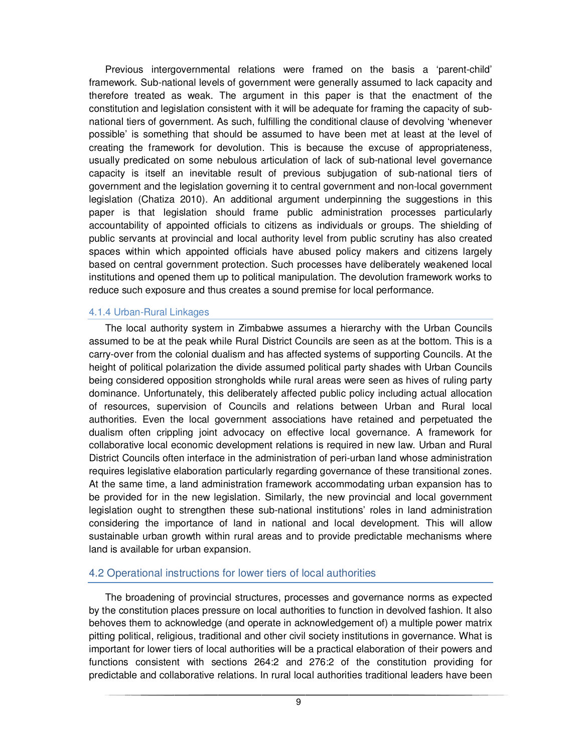Previous intergovernmental relations were framed on the basis a 'parent-child' framework. Sub-national levels of government were generally assumed to lack capacity and therefore treated as weak. The argument in this paper is that the enactment of the constitution and legislation consistent with it will be adequate for framing the capacity of subnational tiers of government. As such, fulfilling the conditional clause of devolving 'whenever possible' is something that should be assumed to have been met at least at the level of creating the framework for devolution. This is because the excuse of appropriateness, usually predicated on some nebulous articulation of lack of sub-national level governance capacity is itself an inevitable result of previous subjugation of sub-national tiers of government and the legislation governing it to central government and non-local government legislation (Chatiza 2010). An additional argument underpinning the suggestions in this paper is that legislation should frame public administration processes particularly accountability of appointed officials to citizens as individuals or groups. The shielding of public servants at provincial and local authority level from public scrutiny has also created spaces within which appointed officials have abused policy makers and citizens largely based on central government protection. Such processes have deliberately weakened local institutions and opened them up to political manipulation. The devolution framework works to reduce such exposure and thus creates a sound premise for local performance.

#### 4.1.4 Urban-Rural Linkages

The local authority system in Zimbabwe assumes a hierarchy with the Urban Councils assumed to be at the peak while Rural District Councils are seen as at the bottom. This is a carry-over from the colonial dualism and has affected systems of supporting Councils. At the height of political polarization the divide assumed political party shades with Urban Councils being considered opposition strongholds while rural areas were seen as hives of ruling party dominance. Unfortunately, this deliberately affected public policy including actual allocation of resources, supervision of Councils and relations between Urban and Rural local authorities. Even the local government associations have retained and perpetuated the dualism often crippling joint advocacy on effective local governance. A framework for collaborative local economic development relations is required in new law. Urban and Rural District Councils often interface in the administration of peri-urban land whose administration requires legislative elaboration particularly regarding governance of these transitional zones. At the same time, a land administration framework accommodating urban expansion has to be provided for in the new legislation. Similarly, the new provincial and local government legislation ought to strengthen these sub-national institutions' roles in land administration considering the importance of land in national and local development. This will allow sustainable urban growth within rural areas and to provide predictable mechanisms where land is available for urban expansion.

#### 4.2 Operational instructions for lower tiers of local authorities

The broadening of provincial structures, processes and governance norms as expected by the constitution places pressure on local authorities to function in devolved fashion. It also behoves them to acknowledge (and operate in acknowledgement of) a multiple power matrix pitting political, religious, traditional and other civil society institutions in governance. What is important for lower tiers of local authorities will be a practical elaboration of their powers and functions consistent with sections 264:2 and 276:2 of the constitution providing for predictable and collaborative relations. In rural local authorities traditional leaders have been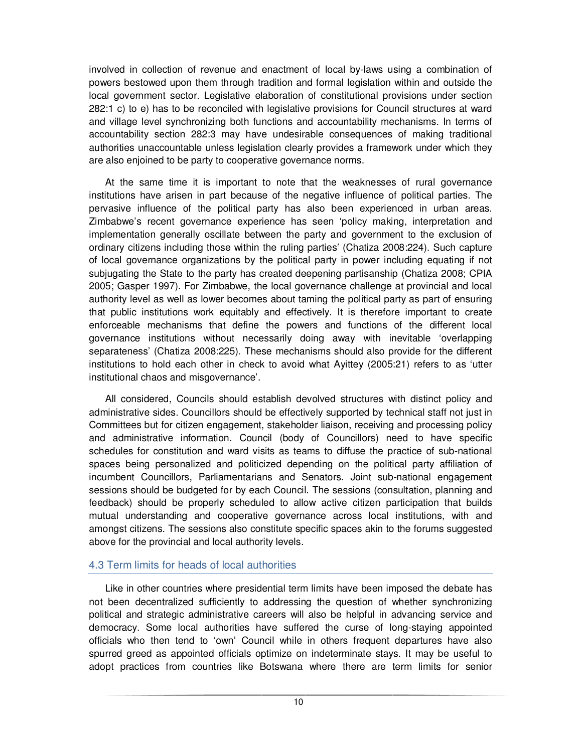involved in collection of revenue and enactment of local by-laws using a combination of powers bestowed upon them through tradition and formal legislation within and outside the local government sector. Legislative elaboration of constitutional provisions under section 282:1 c) to e) has to be reconciled with legislative provisions for Council structures at ward and village level synchronizing both functions and accountability mechanisms. In terms of accountability section 282:3 may have undesirable consequences of making traditional authorities unaccountable unless legislation clearly provides a framework under which they are also enjoined to be party to cooperative governance norms.

At the same time it is important to note that the weaknesses of rural governance institutions have arisen in part because of the negative influence of political parties. The pervasive influence of the political party has also been experienced in urban areas. Zimbabwe's recent governance experience has seen 'policy making, interpretation and implementation generally oscillate between the party and government to the exclusion of ordinary citizens including those within the ruling parties' (Chatiza 2008:224). Such capture of local governance organizations by the political party in power including equating if not subjugating the State to the party has created deepening partisanship (Chatiza 2008; CPIA 2005; Gasper 1997). For Zimbabwe, the local governance challenge at provincial and local authority level as well as lower becomes about taming the political party as part of ensuring that public institutions work equitably and effectively. It is therefore important to create enforceable mechanisms that define the powers and functions of the different local governance institutions without necessarily doing away with inevitable 'overlapping separateness' (Chatiza 2008:225). These mechanisms should also provide for the different institutions to hold each other in check to avoid what Ayittey (2005:21) refers to as 'utter institutional chaos and misgovernance'.

All considered, Councils should establish devolved structures with distinct policy and administrative sides. Councillors should be effectively supported by technical staff not just in Committees but for citizen engagement, stakeholder liaison, receiving and processing policy and administrative information. Council (body of Councillors) need to have specific schedules for constitution and ward visits as teams to diffuse the practice of sub-national spaces being personalized and politicized depending on the political party affiliation of incumbent Councillors, Parliamentarians and Senators. Joint sub-national engagement sessions should be budgeted for by each Council. The sessions (consultation, planning and feedback) should be properly scheduled to allow active citizen participation that builds mutual understanding and cooperative governance across local institutions, with and amongst citizens. The sessions also constitute specific spaces akin to the forums suggested above for the provincial and local authority levels.

#### 4.3 Term limits for heads of local authorities

Like in other countries where presidential term limits have been imposed the debate has not been decentralized sufficiently to addressing the question of whether synchronizing political and strategic administrative careers will also be helpful in advancing service and democracy. Some local authorities have suffered the curse of long-staying appointed officials who then tend to 'own' Council while in others frequent departures have also spurred greed as appointed officials optimize on indeterminate stays. It may be useful to adopt practices from countries like Botswana where there are term limits for senior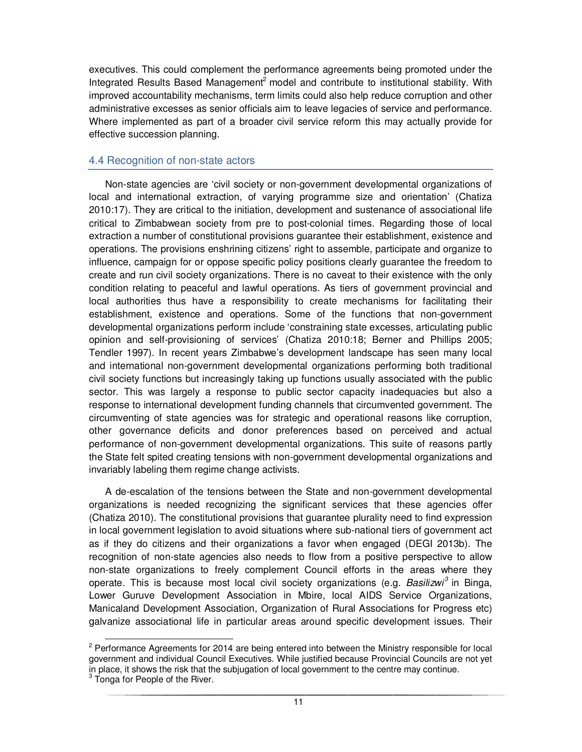executives. This could complement the performance agreements being promoted under the Integrated Results Based Management<sup>2</sup> model and contribute to institutional stability. With improved accountability mechanisms, term limits could also help reduce corruption and other administrative excesses as senior officials aim to leave legacies of service and performance. Where implemented as part of a broader civil service reform this may actually provide for effective succession planning.

#### 4.4 Recognition of non-state actors

Non-state agencies are 'civil society or non-government developmental organizations of local and international extraction, of varying programme size and orientation' (Chatiza 2010:17). They are critical to the initiation, development and sustenance of associational life critical to Zimbabwean society from pre to post-colonial times. Regarding those of local extraction a number of constitutional provisions guarantee their establishment, existence and operations. The provisions enshrining citizens' right to assemble, participate and organize to influence, campaign for or oppose specific policy positions clearly guarantee the freedom to create and run civil society organizations. There is no caveat to their existence with the only condition relating to peaceful and lawful operations. As tiers of government provincial and local authorities thus have a responsibility to create mechanisms for facilitating their establishment, existence and operations. Some of the functions that non-government developmental organizations perform include 'constraining state excesses, articulating public opinion and self-provisioning of services' (Chatiza 2010:18; Berner and Phillips 2005; Tendler 1997). In recent years Zimbabwe's development landscape has seen many local and international non-government developmental organizations performing both traditional civil society functions but increasingly taking up functions usually associated with the public sector. This was largely a response to public sector capacity inadequacies but also a response to international development funding channels that circumvented government. The circumventing of state agencies was for strategic and operational reasons like corruption, other governance deficits and donor preferences based on perceived and actual performance of non-government developmental organizations. This suite of reasons partly the State felt spited creating tensions with non-government developmental organizations and invariably labeling them regime change activists.

A de-escalation of the tensions between the State and non-government developmental organizations is needed recognizing the significant services that these agencies offer (Chatiza 2010). The constitutional provisions that guarantee plurality need to find expression in local government legislation to avoid situations where sub-national tiers of government act as if they do citizens and their organizations a favor when engaged (DEGI 2013b). The recognition of non-state agencies also needs to flow from a positive perspective to allow non-state organizations to freely complement Council efforts in the areas where they operate. This is because most local civil society organizations (e.g. Basilizwi<sup>3</sup> in Binga, Lower Guruve Development Association in Mbire, local AIDS Service Organizations, Manicaland Development Association, Organization of Rural Associations for Progress etc) galvanize associational life in particular areas around specific development issues. Their

 $\overline{a}$ 

<sup>&</sup>lt;sup>2</sup> Performance Agreements for 2014 are being entered into between the Ministry responsible for local government and individual Council Executives. While justified because Provincial Councils are not yet in place, it shows the risk that the subjugation of local government to the centre may continue.

<sup>&</sup>lt;sup>3</sup> Tonga for People of the River.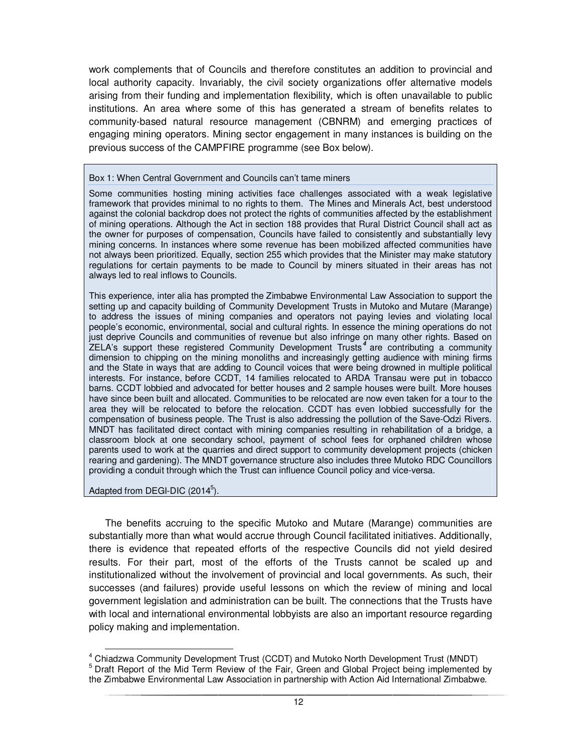work complements that of Councils and therefore constitutes an addition to provincial and local authority capacity. Invariably, the civil society organizations offer alternative models arising from their funding and implementation flexibility, which is often unavailable to public institutions. An area where some of this has generated a stream of benefits relates to community-based natural resource management (CBNRM) and emerging practices of engaging mining operators. Mining sector engagement in many instances is building on the previous success of the CAMPFIRE programme (see Box below).

#### Box 1: When Central Government and Councils can't tame miners

Some communities hosting mining activities face challenges associated with a weak legislative framework that provides minimal to no rights to them. The Mines and Minerals Act, best understood against the colonial backdrop does not protect the rights of communities affected by the establishment of mining operations. Although the Act in section 188 provides that Rural District Council shall act as the owner for purposes of compensation, Councils have failed to consistently and substantially levy mining concerns. In instances where some revenue has been mobilized affected communities have not always been prioritized. Equally, section 255 which provides that the Minister may make statutory regulations for certain payments to be made to Council by miners situated in their areas has not always led to real inflows to Councils.

This experience, inter alia has prompted the Zimbabwe Environmental Law Association to support the setting up and capacity building of Community Development Trusts in Mutoko and Mutare (Marange) to address the issues of mining companies and operators not paying levies and violating local people's economic, environmental, social and cultural rights. In essence the mining operations do not just deprive Councils and communities of revenue but also infringe on many other rights. Based on ZELA's support these registered Community Development Trusts<sup>4</sup> are contributing a community dimension to chipping on the mining monoliths and increasingly getting audience with mining firms and the State in ways that are adding to Council voices that were being drowned in multiple political interests. For instance, before CCDT, 14 families relocated to ARDA Transau were put in tobacco barns. CCDT lobbied and advocated for better houses and 2 sample houses were built. More houses have since been built and allocated. Communities to be relocated are now even taken for a tour to the area they will be relocated to before the relocation. CCDT has even lobbied successfully for the compensation of business people. The Trust is also addressing the pollution of the Save-Odzi Rivers. MNDT has facilitated direct contact with mining companies resulting in rehabilitation of a bridge, a classroom block at one secondary school, payment of school fees for orphaned children whose parents used to work at the quarries and direct support to community development projects (chicken rearing and gardening). The MNDT governance structure also includes three Mutoko RDC Councillors providing a conduit through which the Trust can influence Council policy and vice-versa.

Adapted from DEGI-DIC  $(2014^5)$ .

 $\overline{a}$ 

The benefits accruing to the specific Mutoko and Mutare (Marange) communities are substantially more than what would accrue through Council facilitated initiatives. Additionally, there is evidence that repeated efforts of the respective Councils did not yield desired results. For their part, most of the efforts of the Trusts cannot be scaled up and institutionalized without the involvement of provincial and local governments. As such, their successes (and failures) provide useful lessons on which the review of mining and local government legislation and administration can be built. The connections that the Trusts have with local and international environmental lobbyists are also an important resource regarding policy making and implementation.

<sup>&</sup>lt;sup>4</sup> Chiadzwa Community Development Trust (CCDT) and Mutoko North Development Trust (MNDT) <sup>5</sup> Draft Report of the Mid Term Review of the Fair, Green and Global Project being implemented by the Zimbabwe Environmental Law Association in partnership with Action Aid International Zimbabwe.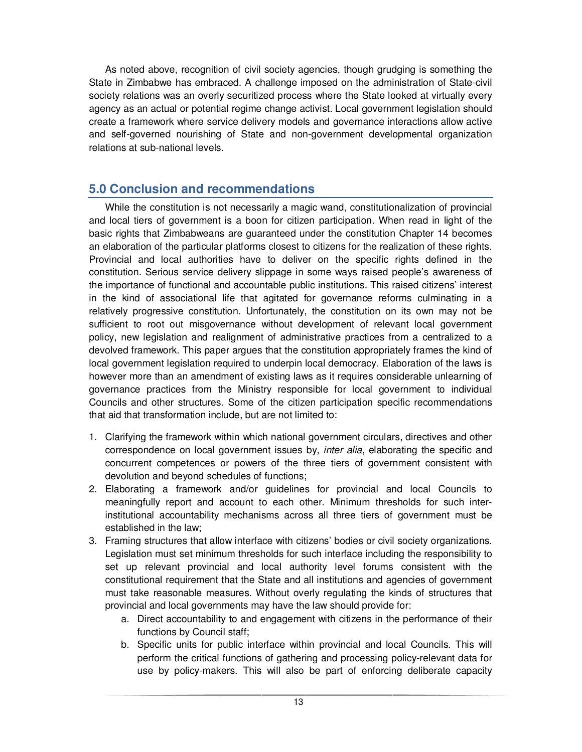As noted above, recognition of civil society agencies, though grudging is something the State in Zimbabwe has embraced. A challenge imposed on the administration of State-civil society relations was an overly securitized process where the State looked at virtually every agency as an actual or potential regime change activist. Local government legislation should create a framework where service delivery models and governance interactions allow active and self-governed nourishing of State and non-government developmental organization relations at sub-national levels.

# **5.0 Conclusion and recommendations**

While the constitution is not necessarily a magic wand, constitutionalization of provincial and local tiers of government is a boon for citizen participation. When read in light of the basic rights that Zimbabweans are guaranteed under the constitution Chapter 14 becomes an elaboration of the particular platforms closest to citizens for the realization of these rights. Provincial and local authorities have to deliver on the specific rights defined in the constitution. Serious service delivery slippage in some ways raised people's awareness of the importance of functional and accountable public institutions. This raised citizens' interest in the kind of associational life that agitated for governance reforms culminating in a relatively progressive constitution. Unfortunately, the constitution on its own may not be sufficient to root out misgovernance without development of relevant local government policy, new legislation and realignment of administrative practices from a centralized to a devolved framework. This paper argues that the constitution appropriately frames the kind of local government legislation required to underpin local democracy. Elaboration of the laws is however more than an amendment of existing laws as it requires considerable unlearning of governance practices from the Ministry responsible for local government to individual Councils and other structures. Some of the citizen participation specific recommendations that aid that transformation include, but are not limited to:

- 1. Clarifying the framework within which national government circulars, directives and other correspondence on local government issues by, *inter alia*, elaborating the specific and concurrent competences or powers of the three tiers of government consistent with devolution and beyond schedules of functions;
- 2. Elaborating a framework and/or guidelines for provincial and local Councils to meaningfully report and account to each other. Minimum thresholds for such interinstitutional accountability mechanisms across all three tiers of government must be established in the law;
- 3. Framing structures that allow interface with citizens' bodies or civil society organizations. Legislation must set minimum thresholds for such interface including the responsibility to set up relevant provincial and local authority level forums consistent with the constitutional requirement that the State and all institutions and agencies of government must take reasonable measures. Without overly regulating the kinds of structures that provincial and local governments may have the law should provide for:
	- a. Direct accountability to and engagement with citizens in the performance of their functions by Council staff;
	- b. Specific units for public interface within provincial and local Councils. This will perform the critical functions of gathering and processing policy-relevant data for use by policy-makers. This will also be part of enforcing deliberate capacity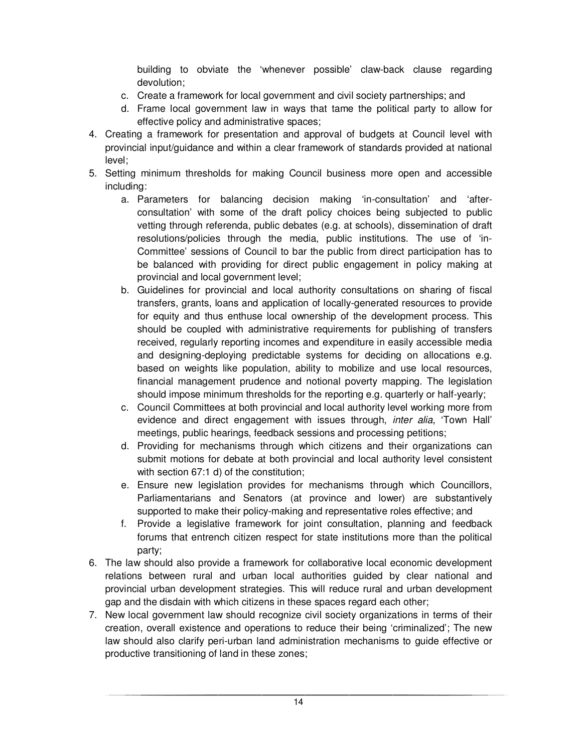building to obviate the 'whenever possible' claw-back clause regarding devolution;

- c. Create a framework for local government and civil society partnerships; and
- d. Frame local government law in ways that tame the political party to allow for effective policy and administrative spaces;
- 4. Creating a framework for presentation and approval of budgets at Council level with provincial input/guidance and within a clear framework of standards provided at national level;
- 5. Setting minimum thresholds for making Council business more open and accessible including:
	- a. Parameters for balancing decision making 'in-consultation' and 'afterconsultation' with some of the draft policy choices being subjected to public vetting through referenda, public debates (e.g. at schools), dissemination of draft resolutions/policies through the media, public institutions. The use of 'in-Committee' sessions of Council to bar the public from direct participation has to be balanced with providing for direct public engagement in policy making at provincial and local government level;
	- b. Guidelines for provincial and local authority consultations on sharing of fiscal transfers, grants, loans and application of locally-generated resources to provide for equity and thus enthuse local ownership of the development process. This should be coupled with administrative requirements for publishing of transfers received, regularly reporting incomes and expenditure in easily accessible media and designing-deploying predictable systems for deciding on allocations e.g. based on weights like population, ability to mobilize and use local resources, financial management prudence and notional poverty mapping. The legislation should impose minimum thresholds for the reporting e.g. quarterly or half-yearly;
	- c. Council Committees at both provincial and local authority level working more from evidence and direct engagement with issues through, *inter alia*, 'Town Hall' meetings, public hearings, feedback sessions and processing petitions;
	- d. Providing for mechanisms through which citizens and their organizations can submit motions for debate at both provincial and local authority level consistent with section 67:1 d) of the constitution;
	- e. Ensure new legislation provides for mechanisms through which Councillors, Parliamentarians and Senators (at province and lower) are substantively supported to make their policy-making and representative roles effective; and
	- f. Provide a legislative framework for joint consultation, planning and feedback forums that entrench citizen respect for state institutions more than the political party;
- 6. The law should also provide a framework for collaborative local economic development relations between rural and urban local authorities guided by clear national and provincial urban development strategies. This will reduce rural and urban development gap and the disdain with which citizens in these spaces regard each other;
- 7. New local government law should recognize civil society organizations in terms of their creation, overall existence and operations to reduce their being 'criminalized'; The new law should also clarify peri-urban land administration mechanisms to guide effective or productive transitioning of land in these zones;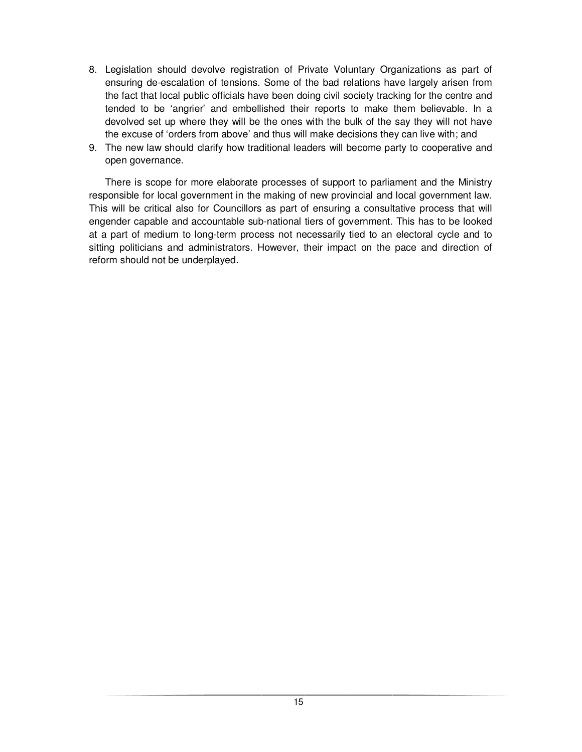- 8. Legislation should devolve registration of Private Voluntary Organizations as part of ensuring de-escalation of tensions. Some of the bad relations have largely arisen from the fact that local public officials have been doing civil society tracking for the centre and tended to be 'angrier' and embellished their reports to make them believable. In a devolved set up where they will be the ones with the bulk of the say they will not have the excuse of 'orders from above' and thus will make decisions they can live with; and
- 9. The new law should clarify how traditional leaders will become party to cooperative and open governance.

There is scope for more elaborate processes of support to parliament and the Ministry responsible for local government in the making of new provincial and local government law. This will be critical also for Councillors as part of ensuring a consultative process that will engender capable and accountable sub-national tiers of government. This has to be looked at a part of medium to long-term process not necessarily tied to an electoral cycle and to sitting politicians and administrators. However, their impact on the pace and direction of reform should not be underplayed.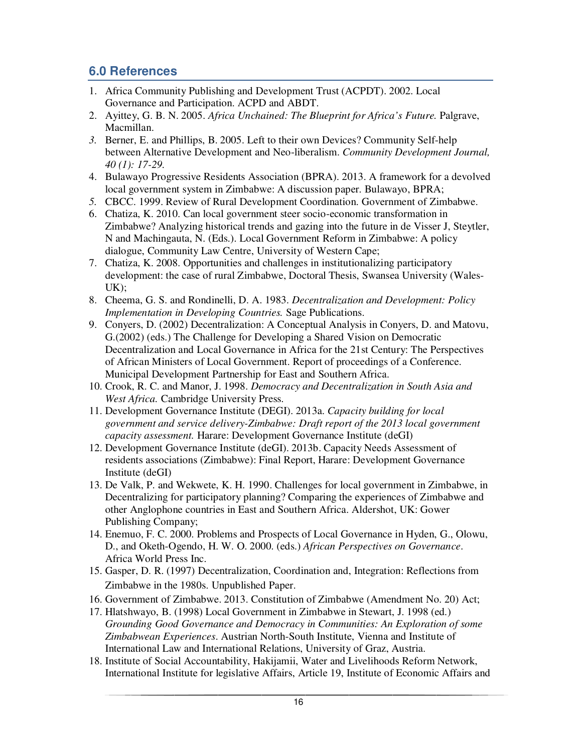# **6.0 References**

- 1. Africa Community Publishing and Development Trust (ACPDT). 2002. Local Governance and Participation. ACPD and ABDT.
- 2. Ayittey, G. B. N. 2005. *Africa Unchained: The Blueprint for Africa's Future.* Palgrave, Macmillan.
- *3.* Berner, E. and Phillips, B. 2005. Left to their own Devices? Community Self-help between Alternative Development and Neo-liberalism. *Community Development Journal, 40 (1): 17-29.*
- 4. Bulawayo Progressive Residents Association (BPRA). 2013. A framework for a devolved local government system in Zimbabwe: A discussion paper. Bulawayo, BPRA;
- *5.* CBCC. 1999. Review of Rural Development Coordination. Government of Zimbabwe.
- 6. Chatiza, K. 2010. Can local government steer socio-economic transformation in Zimbabwe? Analyzing historical trends and gazing into the future in de Visser J, Steytler, N and Machingauta, N. (Eds.). Local Government Reform in Zimbabwe: A policy dialogue, Community Law Centre, University of Western Cape;
- 7. Chatiza, K. 2008. Opportunities and challenges in institutionalizing participatory development: the case of rural Zimbabwe, Doctoral Thesis, Swansea University (Wales-UK);
- 8. Cheema, G. S. and Rondinelli, D. A. 1983. *Decentralization and Development: Policy Implementation in Developing Countries.* Sage Publications.
- 9. Conyers, D. (2002) Decentralization: A Conceptual Analysis in Conyers, D. and Matovu, G.(2002) (eds.) The Challenge for Developing a Shared Vision on Democratic Decentralization and Local Governance in Africa for the 21st Century: The Perspectives of African Ministers of Local Government. Report of proceedings of a Conference. Municipal Development Partnership for East and Southern Africa.
- 10. Crook, R. C. and Manor, J. 1998. *Democracy and Decentralization in South Asia and West Africa.* Cambridge University Press.
- 11. Development Governance Institute (DEGI). 2013a. *Capacity building for local government and service delivery-Zimbabwe: Draft report of the 2013 local government capacity assessment.* Harare: Development Governance Institute (deGI)
- 12. Development Governance Institute (deGI). 2013b. Capacity Needs Assessment of residents associations (Zimbabwe): Final Report, Harare: Development Governance Institute (deGI)
- 13. De Valk, P. and Wekwete, K. H. 1990. Challenges for local government in Zimbabwe, in Decentralizing for participatory planning? Comparing the experiences of Zimbabwe and other Anglophone countries in East and Southern Africa. Aldershot, UK: Gower Publishing Company;
- 14. Enemuo, F. C. 2000. Problems and Prospects of Local Governance in Hyden, G., Olowu, D., and Oketh-Ogendo, H. W. O. 2000. (eds.) *African Perspectives on Governance*. Africa World Press Inc.
- 15. Gasper, D. R. (1997) Decentralization, Coordination and, Integration: Reflections from Zimbabwe in the 1980s. Unpublished Paper.
- 16. Government of Zimbabwe. 2013. Constitution of Zimbabwe (Amendment No. 20) Act;
- 17. Hlatshwayo, B. (1998) Local Government in Zimbabwe in Stewart, J. 1998 (ed.) *Grounding Good Governance and Democracy in Communities: An Exploration of some Zimbabwean Experiences*. Austrian North-South Institute, Vienna and Institute of International Law and International Relations, University of Graz, Austria.
- 18. Institute of Social Accountability, Hakijamii, Water and Livelihoods Reform Network, International Institute for legislative Affairs, Article 19, Institute of Economic Affairs and